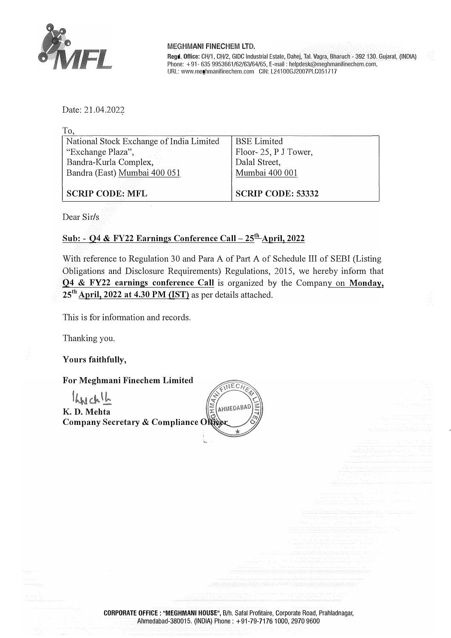

#### MEGHMANI FINECHEM LTD.

Regd. Office: CH/1, CH/2, GIDC Industrial Estate, Dahej, Tai. Vagra, Bharuch - 392 130. Gujarat, (INDIA) Phone: +91- 635 9953661/62/63/64/65, E-mail: helpdesk@meghmanifinechem.com, URL: www.meghmanifinechem.com GIN: L24100GJ2007PLC051717

Date: 21.04.2022

| and the state                            |                          |
|------------------------------------------|--------------------------|
| National Stock Exchange of India Limited | BSE Limited              |
| "Exchange Plaza",                        | Floor-25, P J Tower,     |
| Bandra-Kurla Complex,                    | Dalal Street,            |
| Bandra (East) Mumbai 400 051             | Mumbai 400 001           |
|                                          |                          |
| <b>SCRIP CODE: MFL</b>                   | <b>SCRIP CODE: 53332</b> |

Dear Sir/s

### **Sub: - 04 & FY22 Earnings Conference Call - 25** th **April, 2022**

With reference to Regulation 30 and Para A of Part A of Schedule III of SEBI (Listing Obligations and Disclosure Requirements) Regulations, 2015, we hereby inform that 04 & **FY22 earnings conference Call** is organized by the Company on **Monday, 25th April, 2022 at 4.30 PM (IST)** as per details attached.

This is for information and records.

Thanking you.

**Yours faithfully,** 

#### **For Meghmani Finechem Limited**

KNChl **K. D. Mehta**  $Company$  Secretary & Compliance ON



CORPORATE OFFICE : "MEGHMANI HOUSE", B/h. Safa! Profitaire, Corporate Road, Prahladnagar, Ahmedabad-380015. (INDIA) Phone: +91-79-71761000, 2970 9600